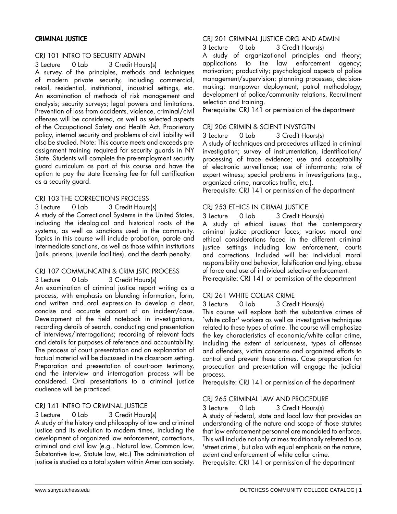## CRIMINAL JUSTICE

## CRJ 101 INTRO TO SECURITY ADMIN

3 Lecture 0 Lab 3 Credit Hours(s)

A survey of the principles, methods and techniques of modern private security, including commercial, retail, residential, institutional, industrial settings, etc. An examination of methods of risk management and analysis; security surveys; legal powers and limitations. Prevention of loss from accidents, violence, criminal/civil offenses will be considered, as well as selected aspects of the Occupational Safety and Health Act. Proprietary policy, internal security and problems of civil liability will also be studied. Note: This course meets and exceeds preassignment training required for security guards in NY State. Students will complete the pre-employment security guard curriculum as part of this course and have the option to pay the state licensing fee for full certification as a security guard.

## CRJ 103 THE CORRECTIONS PROCESS

3 Lecture 0 Lab 3 Credit Hours(s)

A study of the Correctional Systems in the United States, including the ideological and historical roots of the systems, as well as sanctions used in the community. Topics in this course will include probation, parole and intermediate sanctions, as well as those within institutions (jails, prisons, juvenile facilities), and the death penalty.

#### CRJ 107 COMMUNCATN & CRIM JSTC PROCESS

3 Lecture 0 Lab 3 Credit Hours(s) An examination of criminal justice report writing as a process, with emphasis on blending information, form, and written and oral expression to develop a clear, concise and accurate account of an incident/case. Development of the field notebook in investigations,

recording details of search, conducting and presentation of interviews/interrogations; recording of relevant facts and details for purposes of reference and accountability. The process of court presentation and an explanation of factual material will be discussed in the classroom setting. Preparation and presentation of courtroom testimony, and the interview and interrogation process will be considered. Oral presentations to a criminal justice audience will be practiced.

#### CRJ 141 INTRO TO CRIMINAL JUSTICE

#### 3 Lecture 0 Lab 3 Credit Hours(s)

A study of the history and philosophy of law and criminal justice and its evolution to modern times, including the development of organized law enforcement, corrections, criminal and civil law (e.g., Natural law, Common law, Substantive law, Statute law, etc.) The administration of justice is studied as a total system within American society.

## CRJ 201 CRIMINAL JUSTICE ORG AND ADMIN

3 Lecture 0 Lab 3 Credit Hours(s)

A study of organizational principles and theory; applications to the law enforcement agency; motivation; productivity; psychological aspects of police management/supervision; planning processes; decisionmaking; manpower deployment, patrol methodology, development of police/community relations. Recruitment selection and training.

Prerequisite: CRJ 141 or permission of the department

## CRJ 206 CRIMIN & SCIENT INVSTGTN

3 Lecture 0 Lab 3 Credit Hours(s)

A study of techniques and procedures utilized in criminal investigation; survey of instrumentation, identification/ processing of trace evidence; use and acceptability of electronic surveillance; use of informants; role of expert witness; special problems in investigations (e.g., organized crime, narcotics traffic, etc.).

Prerequisite: CRJ 141 or permission of the department

## CRJ 253 ETHICS IN CRIMAL JUSTICE

3 Lecture 0 Lab 3 Credit Hours(s)

A study of ethical issues that the contemporary criminal justice practioner faces; various moral and ethical considerations faced in the different criminal justice settings including law enforcement, courts and corrections. Included will be: individual moral responsibility and behavior, falsification and lying, abuse of force and use of individual selective enforcement.

Pre-requisite: CRJ 141 or permission of the department

# CRJ 261 WHITE COLLAR CRIME

3 Lecture 0 Lab 3 Credit Hours(s)

This course will explore both the substantive crimes of `white collar' workers as well as investigative techniques related to these types of crime. The course will emphasize the key characteristics of economic/white collar crime, including the extent of seriousness, types of offenses and offenders, victim concerns and organized efforts to control and prevent these crimes. Case preparation for prosecution and presentation will engage the judicial process.

Prerequisite: CRJ 141 or permission of the department

#### CRJ 265 CRIMINAL LAW AND PROCEDURE

3 Lecture 0 Lab 3 Credit Hours(s)

A study of federal, state and local law that provides an understanding of the nature and scope of those statutes that law enforcement personnel are mandated to enforce. This will include not only crimes traditionally referred to as 'street crime', but also with equal emphasis on the nature, extent and enforcement of white collar crime.

Prerequisite: CRJ 141 or permission of the department